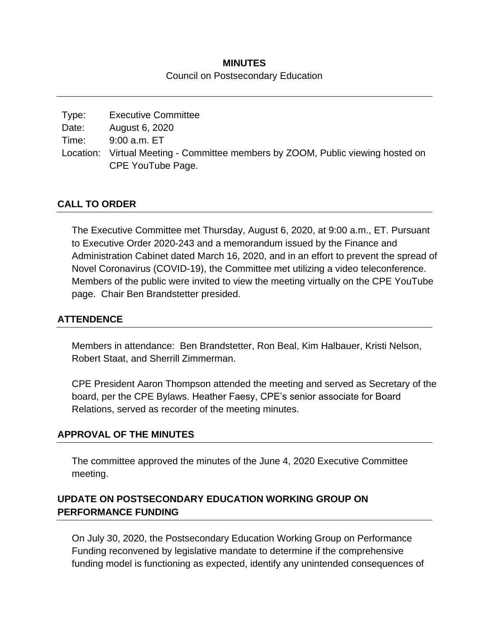# **MINUTES** Council on Postsecondary Education

| Type: | <b>Executive Committee</b>                                                      |
|-------|---------------------------------------------------------------------------------|
| Date: | August 6, 2020                                                                  |
| Time: | 9:00 a.m. ET                                                                    |
|       | Location: Virtual Meeting - Committee members by ZOOM, Public viewing hosted on |
|       | CPE YouTube Page.                                                               |

# **CALL TO ORDER**

The Executive Committee met Thursday, August 6, 2020, at 9:00 a.m., ET. Pursuant to Executive Order 2020-243 and a memorandum issued by the Finance and Administration Cabinet dated March 16, 2020, and in an effort to prevent the spread of Novel Coronavirus (COVID-19), the Committee met utilizing a video teleconference. Members of the public were invited to view the meeting virtually on the CPE YouTube page. Chair Ben Brandstetter presided.

#### **ATTENDENCE**

Members in attendance: Ben Brandstetter, Ron Beal, Kim Halbauer, Kristi Nelson, Robert Staat, and Sherrill Zimmerman.

CPE President Aaron Thompson attended the meeting and served as Secretary of the board, per the CPE Bylaws. Heather Faesy, CPE's senior associate for Board Relations, served as recorder of the meeting minutes.

#### **APPROVAL OF THE MINUTES**

The committee approved the minutes of the June 4, 2020 Executive Committee meeting.

# **UPDATE ON POSTSECONDARY EDUCATION WORKING GROUP ON PERFORMANCE FUNDING**

On July 30, 2020, the Postsecondary Education Working Group on Performance Funding reconvened by legislative mandate to determine if the comprehensive funding model is functioning as expected, identify any unintended consequences of